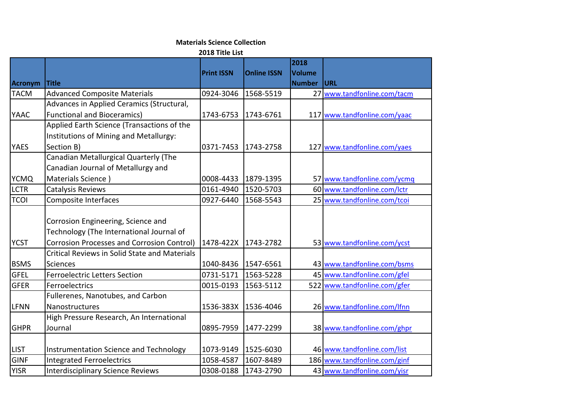## **Materials Science Collection**

**2018 Title List**

|             |                                                   |                   |                    | 2018          |                              |
|-------------|---------------------------------------------------|-------------------|--------------------|---------------|------------------------------|
|             |                                                   | <b>Print ISSN</b> | <b>Online ISSN</b> | <b>Volume</b> |                              |
| Acronym     | Title                                             |                   |                    | <b>Number</b> | <b>URL</b>                   |
| <b>TACM</b> | <b>Advanced Composite Materials</b>               | 0924-3046         | 1568-5519          | 27            | www.tandfonline.com/tacm     |
|             | Advances in Applied Ceramics (Structural,         |                   |                    |               |                              |
| <b>YAAC</b> | <b>Functional and Bioceramics)</b>                | 1743-6753         | 1743-6761          |               | 117 www.tandfonline.com/yaac |
|             | Applied Earth Science (Transactions of the        |                   |                    |               |                              |
|             | Institutions of Mining and Metallurgy:            |                   |                    |               |                              |
| <b>YAES</b> | Section B)                                        | 0371-7453         | 1743-2758          |               | 127 www.tandfonline.com/yaes |
|             | Canadian Metallurgical Quarterly (The             |                   |                    |               |                              |
|             | Canadian Journal of Metallurgy and                |                   |                    |               |                              |
| <b>YCMQ</b> | Materials Science)                                | 0008-4433         | 1879-1395          |               | 57 www.tandfonline.com/ycmq  |
| <b>LCTR</b> | Catalysis Reviews                                 | 0161-4940         | 1520-5703          |               | 60 www.tandfonline.com/lctr  |
| <b>TCOI</b> | Composite Interfaces                              | 0927-6440         | 1568-5543          |               | 25 www.tandfonline.com/tcoi  |
|             | Corrosion Engineering, Science and                |                   |                    |               |                              |
|             | Technology (The International Journal of          |                   |                    |               |                              |
| <b>YCST</b> | <b>Corrosion Processes and Corrosion Control)</b> | 1478-422X         | 1743-2782          |               | 53 www.tandfonline.com/ycst  |
|             | Critical Reviews in Solid State and Materials     |                   |                    |               |                              |
| <b>BSMS</b> | <b>Sciences</b>                                   | 1040-8436         | 1547-6561          |               | 43 www.tandfonline.com/bsms  |
| <b>GFEL</b> | <b>Ferroelectric Letters Section</b>              | 0731-5171         | 1563-5228          |               | 45 www.tandfonline.com/gfel  |
| GFER        | Ferroelectrics                                    | 0015-0193         | 1563-5112          |               | 522 www.tandfonline.com/gfer |
|             | Fullerenes, Nanotubes, and Carbon                 |                   |                    |               |                              |
| <b>LFNN</b> | Nanostructures                                    | 1536-383X         | 1536-4046          |               | 26 www.tandfonline.com/Ifnn  |
|             | High Pressure Research, An International          |                   |                    |               |                              |
| <b>GHPR</b> | Journal                                           | 0895-7959         | 1477-2299          |               | 38 www.tandfonline.com/ghpr  |
|             |                                                   |                   |                    |               |                              |
| <b>LIST</b> | Instrumentation Science and Technology            | 1073-9149         | 1525-6030          |               | 46 www.tandfonline.com/list  |
| GINF        | <b>Integrated Ferroelectrics</b>                  | 1058-4587         | 1607-8489          |               | 186 www.tandfonline.com/ginf |
| <b>YISR</b> | <b>Interdisciplinary Science Reviews</b>          | 0308-0188         | 1743-2790          |               | 43 www.tandfonline.com/yisr  |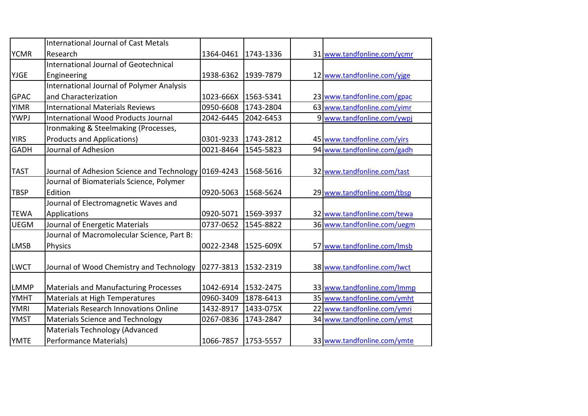|             | <b>International Journal of Cast Metals</b>          |           |           |                             |
|-------------|------------------------------------------------------|-----------|-----------|-----------------------------|
| <b>YCMR</b> | Research                                             | 1364-0461 | 1743-1336 | 31 www.tandfonline.com/ycmr |
|             | International Journal of Geotechnical                |           |           |                             |
| <b>YJGE</b> | Engineering                                          | 1938-6362 | 1939-7879 | 12 www.tandfonline.com/yjge |
|             | <b>International Journal of Polymer Analysis</b>     |           |           |                             |
| <b>GPAC</b> | and Characterization                                 | 1023-666X | 1563-5341 | 23 www.tandfonline.com/gpac |
| <b>YIMR</b> | <b>International Materials Reviews</b>               | 0950-6608 | 1743-2804 | 63 www.tandfonline.com/yimr |
| <b>YWPJ</b> | <b>International Wood Products Journal</b>           | 2042-6445 | 2042-6453 | 9 www.tandfonline.com/ywpj  |
|             | Ironmaking & Steelmaking (Processes,                 |           |           |                             |
| <b>YIRS</b> | <b>Products and Applications)</b>                    | 0301-9233 | 1743-2812 | 45 www.tandfonline.com/yirs |
| <b>GADH</b> | Journal of Adhesion                                  | 0021-8464 | 1545-5823 | 94 www.tandfonline.com/gadh |
|             |                                                      |           |           |                             |
| <b>TAST</b> | Journal of Adhesion Science and Technology 0169-4243 |           | 1568-5616 | 32 www.tandfonline.com/tast |
|             | Journal of Biomaterials Science, Polymer             |           |           |                             |
| <b>TBSP</b> | Edition                                              | 0920-5063 | 1568-5624 | 29 www.tandfonline.com/tbsp |
|             | Journal of Electromagnetic Waves and                 |           |           |                             |
| <b>TEWA</b> | Applications                                         | 0920-5071 | 1569-3937 | 32 www.tandfonline.com/tewa |
| <b>UEGM</b> | Journal of Energetic Materials                       | 0737-0652 | 1545-8822 | 36 www.tandfonline.com/uegm |
|             | Journal of Macromolecular Science, Part B:           |           |           |                             |
| <b>LMSB</b> | Physics                                              | 0022-2348 | 1525-609X | 57 www.tandfonline.com/lmsb |
|             |                                                      |           |           |                             |
| LWCT        | Journal of Wood Chemistry and Technology             | 0277-3813 | 1532-2319 | 38 www.tandfonline.com/lwct |
|             |                                                      |           |           |                             |
| <b>LMMP</b> | <b>Materials and Manufacturing Processes</b>         | 1042-6914 | 1532-2475 | 33 www.tandfonline.com/Immp |
| <b>YMHT</b> | Materials at High Temperatures                       | 0960-3409 | 1878-6413 | 35 www.tandfonline.com/ymht |
| <b>YMRI</b> | Materials Research Innovations Online                | 1432-8917 | 1433-075X | 22 www.tandfonline.com/ymri |
| <b>YMST</b> | Materials Science and Technology                     | 0267-0836 | 1743-2847 | 34 www.tandfonline.com/ymst |
|             | Materials Technology (Advanced                       |           |           |                             |
| <b>YMTE</b> | Performance Materials)                               | 1066-7857 | 1753-5557 | 33 www.tandfonline.com/ymte |